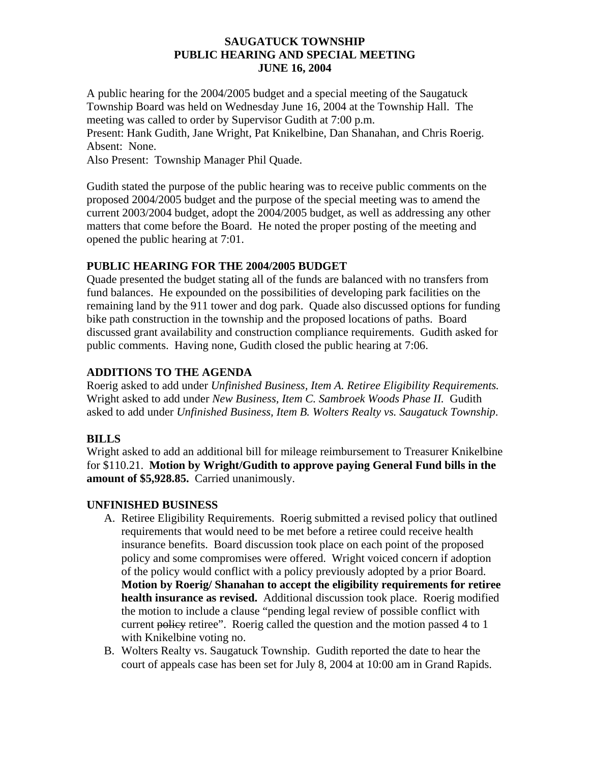#### **SAUGATUCK TOWNSHIP PUBLIC HEARING AND SPECIAL MEETING JUNE 16, 2004**

A public hearing for the 2004/2005 budget and a special meeting of the Saugatuck Township Board was held on Wednesday June 16, 2004 at the Township Hall. The meeting was called to order by Supervisor Gudith at 7:00 p.m. Present: Hank Gudith, Jane Wright, Pat Knikelbine, Dan Shanahan, and Chris Roerig.

Absent: None.

Also Present: Township Manager Phil Quade.

Gudith stated the purpose of the public hearing was to receive public comments on the proposed 2004/2005 budget and the purpose of the special meeting was to amend the current 2003/2004 budget, adopt the 2004/2005 budget, as well as addressing any other matters that come before the Board. He noted the proper posting of the meeting and opened the public hearing at 7:01.

# **PUBLIC HEARING FOR THE 2004/2005 BUDGET**

Quade presented the budget stating all of the funds are balanced with no transfers from fund balances. He expounded on the possibilities of developing park facilities on the remaining land by the 911 tower and dog park. Quade also discussed options for funding bike path construction in the township and the proposed locations of paths. Board discussed grant availability and construction compliance requirements. Gudith asked for public comments. Having none, Gudith closed the public hearing at 7:06.

# **ADDITIONS TO THE AGENDA**

Roerig asked to add under *Unfinished Business, Item A. Retiree Eligibility Requirements.* Wright asked to add under *New Business, Item C. Sambroek Woods Phase II.* Gudith asked to add under *Unfinished Business, Item B. Wolters Realty vs. Saugatuck Township*.

# **BILLS**

Wright asked to add an additional bill for mileage reimbursement to Treasurer Knikelbine for \$110.21. **Motion by Wright/Gudith to approve paying General Fund bills in the amount of \$5,928.85.** Carried unanimously.

# **UNFINISHED BUSINESS**

- A. Retiree Eligibility Requirements. Roerig submitted a revised policy that outlined requirements that would need to be met before a retiree could receive health insurance benefits. Board discussion took place on each point of the proposed policy and some compromises were offered. Wright voiced concern if adoption of the policy would conflict with a policy previously adopted by a prior Board. **Motion by Roerig/ Shanahan to accept the eligibility requirements for retiree health insurance as revised.** Additional discussion took place. Roerig modified the motion to include a clause "pending legal review of possible conflict with current policy retiree". Roerig called the question and the motion passed 4 to 1 with Knikelbine voting no.
- B. Wolters Realty vs. Saugatuck Township. Gudith reported the date to hear the court of appeals case has been set for July 8, 2004 at 10:00 am in Grand Rapids.